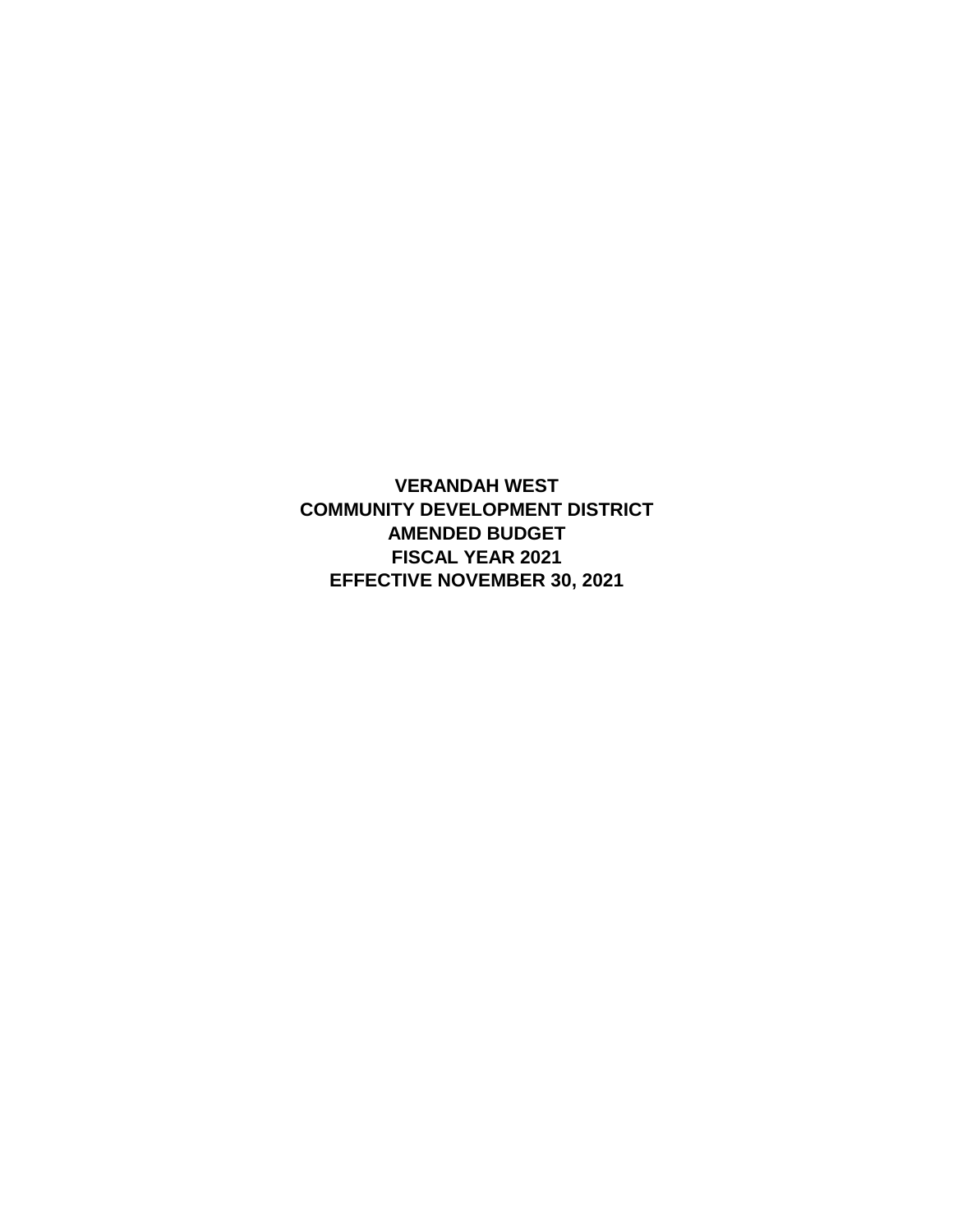**VERANDAH WEST COMMUNITY DEVELOPMENT DISTRICT AMENDED BUDGET EFFECTIVE NOVEMBER 30, 2021 FISCAL YEAR 2021**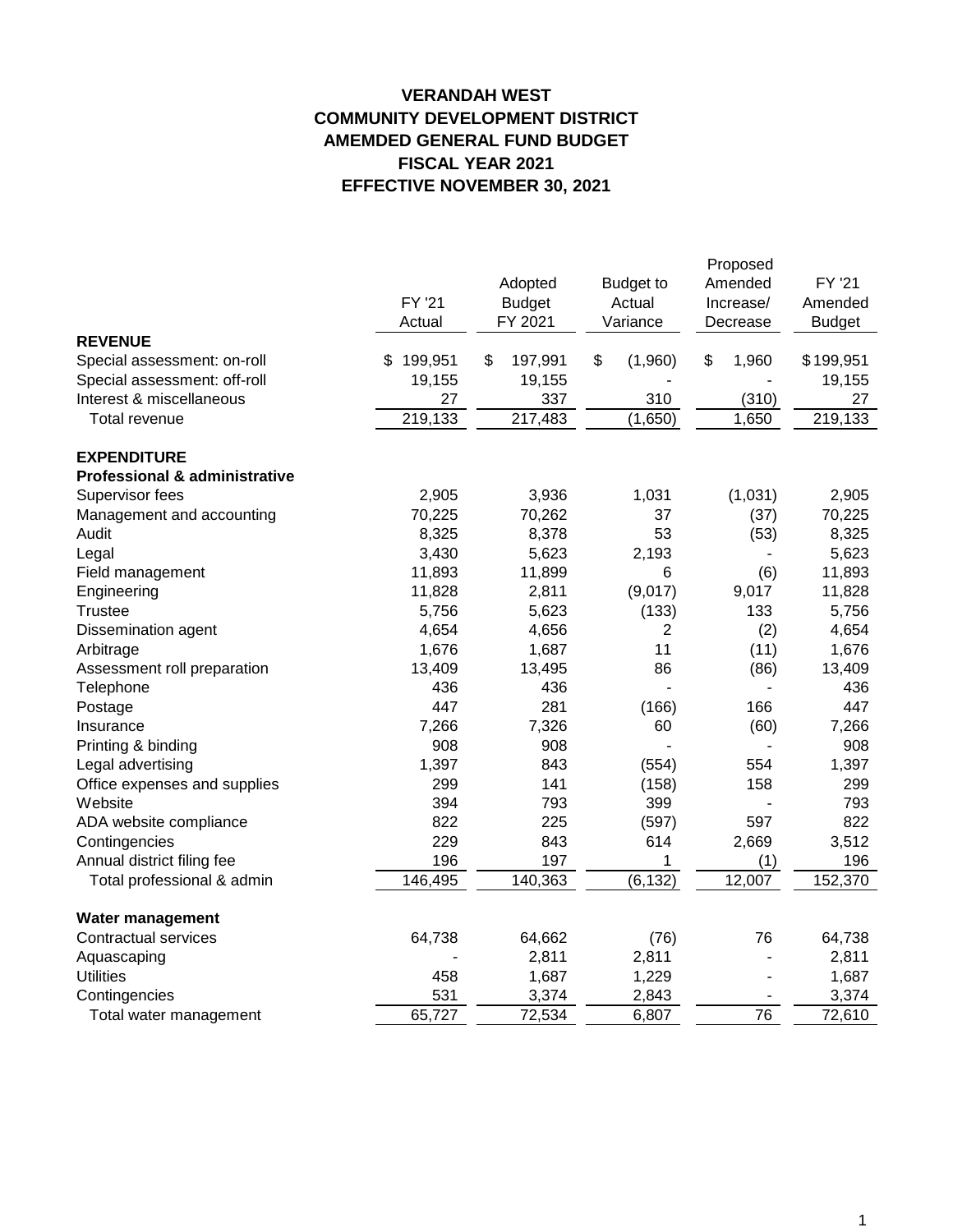## **VERANDAH WEST FISCAL YEAR 2021 COMMUNITY DEVELOPMENT DISTRICT AMEMDED GENERAL FUND BUDGET EFFECTIVE NOVEMBER 30, 2021**

| FY '21<br>Adopted<br>Amended<br><b>Budget to</b><br>FY '21<br><b>Budget</b><br>Actual<br>Increase/<br>Amended<br>FY 2021<br>Actual<br>Variance<br>Decrease<br><b>Budget</b><br><b>REVENUE</b><br>\$<br>\$<br>Special assessment: on-roll<br>\$199,951<br>197,991<br>(1,960)<br>\$<br>1,960<br>\$199,951<br>Special assessment: off-roll<br>19,155<br>19,155<br>19,155<br>27<br>337<br>Interest & miscellaneous<br>310<br>(310)<br>27<br>219,133<br>$\overline{217}, 483$<br>(1,650)<br>1,650<br>219,133<br>Total revenue<br><b>EXPENDITURE</b><br><b>Professional &amp; administrative</b><br>2,905<br>3,936<br>1,031<br>(1,031)<br>2,905<br>Supervisor fees<br>70,225<br>70,262<br>37<br>70,225<br>Management and accounting<br>(37)<br>8,325<br>8,378<br>53<br>(53)<br>8,325<br>Audit<br>3,430<br>5,623<br>2,193<br>5,623<br>Legal<br>11,893<br>11,899<br>11,893<br>6<br>(6)<br>Field management<br>11,828<br>2,811<br>(9,017)<br>11,828<br>9,017<br>Engineering<br>133<br>5,756<br><b>Trustee</b><br>5,756<br>5,623<br>(133)<br>4,654<br>4,654<br>4,656<br>(2)<br>Dissemination agent<br>2<br>1,676<br>1,687<br>11<br>(11)<br>1,676<br>Arbitrage<br>13,409<br>86<br>Assessment roll preparation<br>13,495<br>(86)<br>13,409<br>436<br>436<br>436<br>Telephone<br>447<br>281<br>(166)<br>166<br>447<br>Postage<br>7,266<br>7,326<br>60<br>(60)<br>7,266<br>Insurance<br>Printing & binding<br>908<br>908<br>908<br>1,397<br>843<br>554<br>1,397<br>Legal advertising<br>(554)<br>299<br>(158)<br>158<br>299<br>Office expenses and supplies<br>141<br>394<br>793<br>399<br>793<br>Website<br>822<br>225<br>(597)<br>597<br>822<br>ADA website compliance<br>229<br>614<br>843<br>2,669<br>3,512<br>Contingencies<br>Annual district filing fee<br>196<br>197<br>196<br>1<br>(1)<br>$\sqrt{(6, 132)}$<br>146,495<br>140,363<br>12,007<br>152,370<br>Total professional & admin<br><b>Water management</b><br><b>Contractual services</b><br>64,738<br>64,662<br>(76)<br>76<br>64,738<br>2,811<br>2,811<br>2,811<br>Aquascaping<br><b>Utilities</b><br>458<br>1,687<br>1,229<br>1,687<br>531<br>3,374<br>2,843<br>3,374<br>Contingencies<br>$\overline{76}$<br>65,727<br>72,534<br>6,807<br>72,610<br>Total water management |  |  | Proposed |  |
|------------------------------------------------------------------------------------------------------------------------------------------------------------------------------------------------------------------------------------------------------------------------------------------------------------------------------------------------------------------------------------------------------------------------------------------------------------------------------------------------------------------------------------------------------------------------------------------------------------------------------------------------------------------------------------------------------------------------------------------------------------------------------------------------------------------------------------------------------------------------------------------------------------------------------------------------------------------------------------------------------------------------------------------------------------------------------------------------------------------------------------------------------------------------------------------------------------------------------------------------------------------------------------------------------------------------------------------------------------------------------------------------------------------------------------------------------------------------------------------------------------------------------------------------------------------------------------------------------------------------------------------------------------------------------------------------------------------------------------------------------------------------------------------------------------------------------------------------------------------------------------------------------------------------------------------------------------------------------------------------------------------------------------------------------------------------------------------------------------------------------------------------------------------------------------------------------------------------------|--|--|----------|--|
|                                                                                                                                                                                                                                                                                                                                                                                                                                                                                                                                                                                                                                                                                                                                                                                                                                                                                                                                                                                                                                                                                                                                                                                                                                                                                                                                                                                                                                                                                                                                                                                                                                                                                                                                                                                                                                                                                                                                                                                                                                                                                                                                                                                                                              |  |  |          |  |
|                                                                                                                                                                                                                                                                                                                                                                                                                                                                                                                                                                                                                                                                                                                                                                                                                                                                                                                                                                                                                                                                                                                                                                                                                                                                                                                                                                                                                                                                                                                                                                                                                                                                                                                                                                                                                                                                                                                                                                                                                                                                                                                                                                                                                              |  |  |          |  |
|                                                                                                                                                                                                                                                                                                                                                                                                                                                                                                                                                                                                                                                                                                                                                                                                                                                                                                                                                                                                                                                                                                                                                                                                                                                                                                                                                                                                                                                                                                                                                                                                                                                                                                                                                                                                                                                                                                                                                                                                                                                                                                                                                                                                                              |  |  |          |  |
|                                                                                                                                                                                                                                                                                                                                                                                                                                                                                                                                                                                                                                                                                                                                                                                                                                                                                                                                                                                                                                                                                                                                                                                                                                                                                                                                                                                                                                                                                                                                                                                                                                                                                                                                                                                                                                                                                                                                                                                                                                                                                                                                                                                                                              |  |  |          |  |
|                                                                                                                                                                                                                                                                                                                                                                                                                                                                                                                                                                                                                                                                                                                                                                                                                                                                                                                                                                                                                                                                                                                                                                                                                                                                                                                                                                                                                                                                                                                                                                                                                                                                                                                                                                                                                                                                                                                                                                                                                                                                                                                                                                                                                              |  |  |          |  |
|                                                                                                                                                                                                                                                                                                                                                                                                                                                                                                                                                                                                                                                                                                                                                                                                                                                                                                                                                                                                                                                                                                                                                                                                                                                                                                                                                                                                                                                                                                                                                                                                                                                                                                                                                                                                                                                                                                                                                                                                                                                                                                                                                                                                                              |  |  |          |  |
|                                                                                                                                                                                                                                                                                                                                                                                                                                                                                                                                                                                                                                                                                                                                                                                                                                                                                                                                                                                                                                                                                                                                                                                                                                                                                                                                                                                                                                                                                                                                                                                                                                                                                                                                                                                                                                                                                                                                                                                                                                                                                                                                                                                                                              |  |  |          |  |
|                                                                                                                                                                                                                                                                                                                                                                                                                                                                                                                                                                                                                                                                                                                                                                                                                                                                                                                                                                                                                                                                                                                                                                                                                                                                                                                                                                                                                                                                                                                                                                                                                                                                                                                                                                                                                                                                                                                                                                                                                                                                                                                                                                                                                              |  |  |          |  |
|                                                                                                                                                                                                                                                                                                                                                                                                                                                                                                                                                                                                                                                                                                                                                                                                                                                                                                                                                                                                                                                                                                                                                                                                                                                                                                                                                                                                                                                                                                                                                                                                                                                                                                                                                                                                                                                                                                                                                                                                                                                                                                                                                                                                                              |  |  |          |  |
|                                                                                                                                                                                                                                                                                                                                                                                                                                                                                                                                                                                                                                                                                                                                                                                                                                                                                                                                                                                                                                                                                                                                                                                                                                                                                                                                                                                                                                                                                                                                                                                                                                                                                                                                                                                                                                                                                                                                                                                                                                                                                                                                                                                                                              |  |  |          |  |
|                                                                                                                                                                                                                                                                                                                                                                                                                                                                                                                                                                                                                                                                                                                                                                                                                                                                                                                                                                                                                                                                                                                                                                                                                                                                                                                                                                                                                                                                                                                                                                                                                                                                                                                                                                                                                                                                                                                                                                                                                                                                                                                                                                                                                              |  |  |          |  |
|                                                                                                                                                                                                                                                                                                                                                                                                                                                                                                                                                                                                                                                                                                                                                                                                                                                                                                                                                                                                                                                                                                                                                                                                                                                                                                                                                                                                                                                                                                                                                                                                                                                                                                                                                                                                                                                                                                                                                                                                                                                                                                                                                                                                                              |  |  |          |  |
|                                                                                                                                                                                                                                                                                                                                                                                                                                                                                                                                                                                                                                                                                                                                                                                                                                                                                                                                                                                                                                                                                                                                                                                                                                                                                                                                                                                                                                                                                                                                                                                                                                                                                                                                                                                                                                                                                                                                                                                                                                                                                                                                                                                                                              |  |  |          |  |
|                                                                                                                                                                                                                                                                                                                                                                                                                                                                                                                                                                                                                                                                                                                                                                                                                                                                                                                                                                                                                                                                                                                                                                                                                                                                                                                                                                                                                                                                                                                                                                                                                                                                                                                                                                                                                                                                                                                                                                                                                                                                                                                                                                                                                              |  |  |          |  |
|                                                                                                                                                                                                                                                                                                                                                                                                                                                                                                                                                                                                                                                                                                                                                                                                                                                                                                                                                                                                                                                                                                                                                                                                                                                                                                                                                                                                                                                                                                                                                                                                                                                                                                                                                                                                                                                                                                                                                                                                                                                                                                                                                                                                                              |  |  |          |  |
|                                                                                                                                                                                                                                                                                                                                                                                                                                                                                                                                                                                                                                                                                                                                                                                                                                                                                                                                                                                                                                                                                                                                                                                                                                                                                                                                                                                                                                                                                                                                                                                                                                                                                                                                                                                                                                                                                                                                                                                                                                                                                                                                                                                                                              |  |  |          |  |
|                                                                                                                                                                                                                                                                                                                                                                                                                                                                                                                                                                                                                                                                                                                                                                                                                                                                                                                                                                                                                                                                                                                                                                                                                                                                                                                                                                                                                                                                                                                                                                                                                                                                                                                                                                                                                                                                                                                                                                                                                                                                                                                                                                                                                              |  |  |          |  |
|                                                                                                                                                                                                                                                                                                                                                                                                                                                                                                                                                                                                                                                                                                                                                                                                                                                                                                                                                                                                                                                                                                                                                                                                                                                                                                                                                                                                                                                                                                                                                                                                                                                                                                                                                                                                                                                                                                                                                                                                                                                                                                                                                                                                                              |  |  |          |  |
|                                                                                                                                                                                                                                                                                                                                                                                                                                                                                                                                                                                                                                                                                                                                                                                                                                                                                                                                                                                                                                                                                                                                                                                                                                                                                                                                                                                                                                                                                                                                                                                                                                                                                                                                                                                                                                                                                                                                                                                                                                                                                                                                                                                                                              |  |  |          |  |
|                                                                                                                                                                                                                                                                                                                                                                                                                                                                                                                                                                                                                                                                                                                                                                                                                                                                                                                                                                                                                                                                                                                                                                                                                                                                                                                                                                                                                                                                                                                                                                                                                                                                                                                                                                                                                                                                                                                                                                                                                                                                                                                                                                                                                              |  |  |          |  |
|                                                                                                                                                                                                                                                                                                                                                                                                                                                                                                                                                                                                                                                                                                                                                                                                                                                                                                                                                                                                                                                                                                                                                                                                                                                                                                                                                                                                                                                                                                                                                                                                                                                                                                                                                                                                                                                                                                                                                                                                                                                                                                                                                                                                                              |  |  |          |  |
|                                                                                                                                                                                                                                                                                                                                                                                                                                                                                                                                                                                                                                                                                                                                                                                                                                                                                                                                                                                                                                                                                                                                                                                                                                                                                                                                                                                                                                                                                                                                                                                                                                                                                                                                                                                                                                                                                                                                                                                                                                                                                                                                                                                                                              |  |  |          |  |
|                                                                                                                                                                                                                                                                                                                                                                                                                                                                                                                                                                                                                                                                                                                                                                                                                                                                                                                                                                                                                                                                                                                                                                                                                                                                                                                                                                                                                                                                                                                                                                                                                                                                                                                                                                                                                                                                                                                                                                                                                                                                                                                                                                                                                              |  |  |          |  |
|                                                                                                                                                                                                                                                                                                                                                                                                                                                                                                                                                                                                                                                                                                                                                                                                                                                                                                                                                                                                                                                                                                                                                                                                                                                                                                                                                                                                                                                                                                                                                                                                                                                                                                                                                                                                                                                                                                                                                                                                                                                                                                                                                                                                                              |  |  |          |  |
|                                                                                                                                                                                                                                                                                                                                                                                                                                                                                                                                                                                                                                                                                                                                                                                                                                                                                                                                                                                                                                                                                                                                                                                                                                                                                                                                                                                                                                                                                                                                                                                                                                                                                                                                                                                                                                                                                                                                                                                                                                                                                                                                                                                                                              |  |  |          |  |
|                                                                                                                                                                                                                                                                                                                                                                                                                                                                                                                                                                                                                                                                                                                                                                                                                                                                                                                                                                                                                                                                                                                                                                                                                                                                                                                                                                                                                                                                                                                                                                                                                                                                                                                                                                                                                                                                                                                                                                                                                                                                                                                                                                                                                              |  |  |          |  |
|                                                                                                                                                                                                                                                                                                                                                                                                                                                                                                                                                                                                                                                                                                                                                                                                                                                                                                                                                                                                                                                                                                                                                                                                                                                                                                                                                                                                                                                                                                                                                                                                                                                                                                                                                                                                                                                                                                                                                                                                                                                                                                                                                                                                                              |  |  |          |  |
|                                                                                                                                                                                                                                                                                                                                                                                                                                                                                                                                                                                                                                                                                                                                                                                                                                                                                                                                                                                                                                                                                                                                                                                                                                                                                                                                                                                                                                                                                                                                                                                                                                                                                                                                                                                                                                                                                                                                                                                                                                                                                                                                                                                                                              |  |  |          |  |
|                                                                                                                                                                                                                                                                                                                                                                                                                                                                                                                                                                                                                                                                                                                                                                                                                                                                                                                                                                                                                                                                                                                                                                                                                                                                                                                                                                                                                                                                                                                                                                                                                                                                                                                                                                                                                                                                                                                                                                                                                                                                                                                                                                                                                              |  |  |          |  |
|                                                                                                                                                                                                                                                                                                                                                                                                                                                                                                                                                                                                                                                                                                                                                                                                                                                                                                                                                                                                                                                                                                                                                                                                                                                                                                                                                                                                                                                                                                                                                                                                                                                                                                                                                                                                                                                                                                                                                                                                                                                                                                                                                                                                                              |  |  |          |  |
|                                                                                                                                                                                                                                                                                                                                                                                                                                                                                                                                                                                                                                                                                                                                                                                                                                                                                                                                                                                                                                                                                                                                                                                                                                                                                                                                                                                                                                                                                                                                                                                                                                                                                                                                                                                                                                                                                                                                                                                                                                                                                                                                                                                                                              |  |  |          |  |
|                                                                                                                                                                                                                                                                                                                                                                                                                                                                                                                                                                                                                                                                                                                                                                                                                                                                                                                                                                                                                                                                                                                                                                                                                                                                                                                                                                                                                                                                                                                                                                                                                                                                                                                                                                                                                                                                                                                                                                                                                                                                                                                                                                                                                              |  |  |          |  |
|                                                                                                                                                                                                                                                                                                                                                                                                                                                                                                                                                                                                                                                                                                                                                                                                                                                                                                                                                                                                                                                                                                                                                                                                                                                                                                                                                                                                                                                                                                                                                                                                                                                                                                                                                                                                                                                                                                                                                                                                                                                                                                                                                                                                                              |  |  |          |  |
|                                                                                                                                                                                                                                                                                                                                                                                                                                                                                                                                                                                                                                                                                                                                                                                                                                                                                                                                                                                                                                                                                                                                                                                                                                                                                                                                                                                                                                                                                                                                                                                                                                                                                                                                                                                                                                                                                                                                                                                                                                                                                                                                                                                                                              |  |  |          |  |
|                                                                                                                                                                                                                                                                                                                                                                                                                                                                                                                                                                                                                                                                                                                                                                                                                                                                                                                                                                                                                                                                                                                                                                                                                                                                                                                                                                                                                                                                                                                                                                                                                                                                                                                                                                                                                                                                                                                                                                                                                                                                                                                                                                                                                              |  |  |          |  |
|                                                                                                                                                                                                                                                                                                                                                                                                                                                                                                                                                                                                                                                                                                                                                                                                                                                                                                                                                                                                                                                                                                                                                                                                                                                                                                                                                                                                                                                                                                                                                                                                                                                                                                                                                                                                                                                                                                                                                                                                                                                                                                                                                                                                                              |  |  |          |  |
|                                                                                                                                                                                                                                                                                                                                                                                                                                                                                                                                                                                                                                                                                                                                                                                                                                                                                                                                                                                                                                                                                                                                                                                                                                                                                                                                                                                                                                                                                                                                                                                                                                                                                                                                                                                                                                                                                                                                                                                                                                                                                                                                                                                                                              |  |  |          |  |
|                                                                                                                                                                                                                                                                                                                                                                                                                                                                                                                                                                                                                                                                                                                                                                                                                                                                                                                                                                                                                                                                                                                                                                                                                                                                                                                                                                                                                                                                                                                                                                                                                                                                                                                                                                                                                                                                                                                                                                                                                                                                                                                                                                                                                              |  |  |          |  |